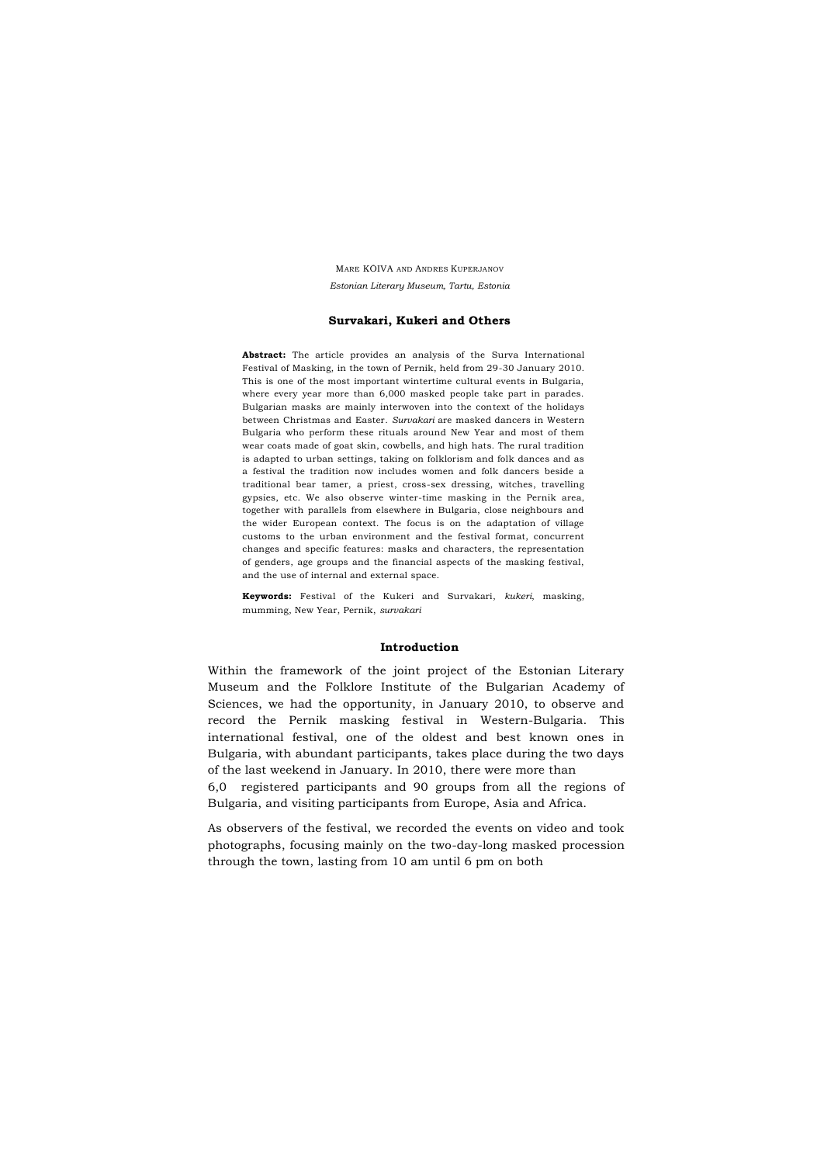MARE KÕIVA AND ANDRES KUPERJANOV *Estonian Literary Museum, Tartu, Estonia*

### **Survakari, Kukeri and Others**

**Abstract:** The article provides an analysis of the Surva International Festival of Masking, in the town of Pernik, held from 29-30 January 2010. This is one of the most important wintertime cultural events in Bulgaria, where every year more than 6,000 masked people take part in parades. Bulgarian masks are mainly interwoven into the context of the holidays between Christmas and Easter. *Survakari* are masked dancers in Western Bulgaria who perform these rituals around New Year and most of them wear coats made of goat skin, cowbells, and high hats. The rural tradition is adapted to urban settings, taking on folklorism and folk dances and as a festival the tradition now includes women and folk dancers beside a traditional bear tamer, a priest, cross-sex dressing, witches, travelling gypsies, etc. We also observe winter-time masking in the Pernik area, together with parallels from elsewhere in Bulgaria, close neighbours and the wider European context. The focus is on the adaptation of village customs to the urban environment and the festival format, concurrent changes and specific features: masks and characters, the representation of genders, age groups and the financial aspects of the masking festival, and the use of internal and external space.

**Keywords:** Festival of the Kukeri and Survakari, *kukeri*, masking, mumming, New Year, Pernik, *survakari*

# **Introduction**

Within the framework of the joint project of the Estonian Literary Museum and the Folklore Institute of the Bulgarian Academy of Sciences, we had the opportunity, in January 2010, to observe and record the Pernik masking festival in Western-Bulgaria. This international festival, one of the oldest and best known ones in Bulgaria, with abundant participants, takes place during the two days of the last weekend in January. In 2010, there were more than

6,0 registered participants and 90 groups from all the regions of Bulgaria, and visiting participants from Europe, Asia and Africa.

As observers of the festival, we recorded the events on video and took photographs, focusing mainly on the two-day-long masked procession through the town, lasting from 10 am until 6 pm on both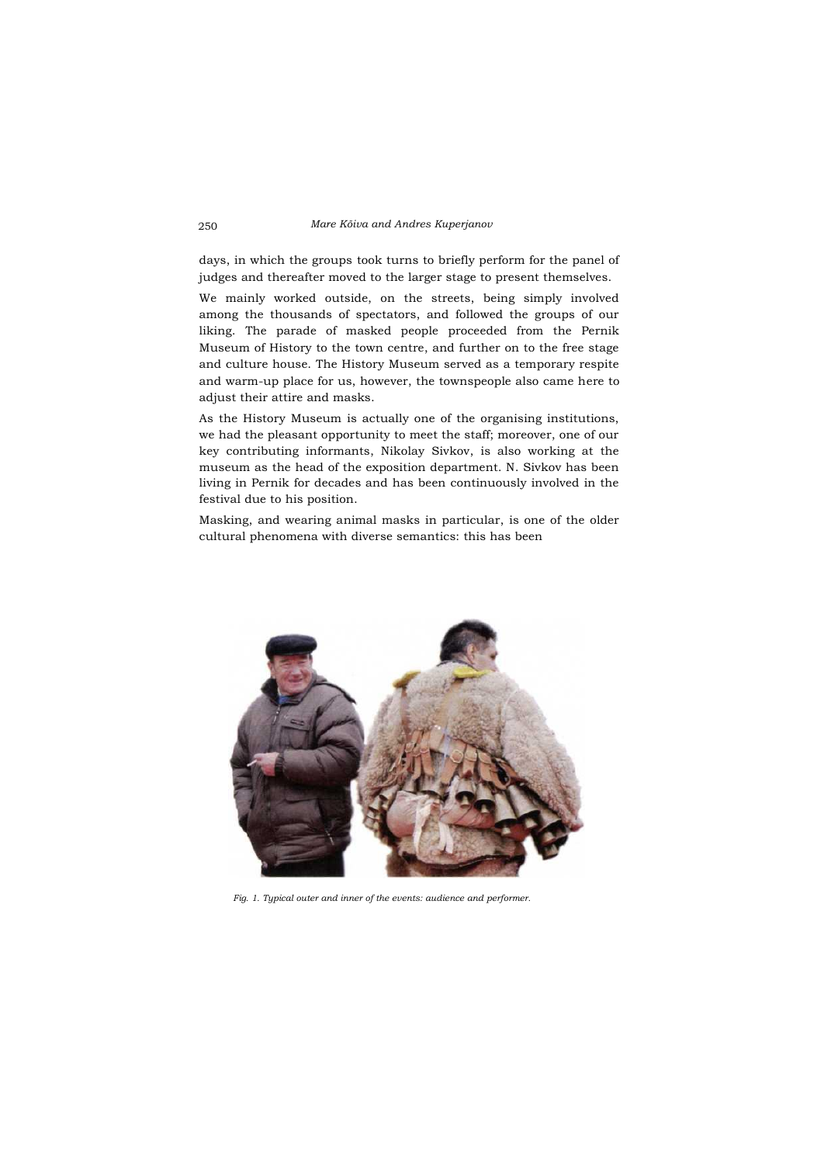days, in which the groups took turns to briefly perform for the panel of judges and thereafter moved to the larger stage to present themselves.

We mainly worked outside, on the streets, being simply involved among the thousands of spectators, and followed the groups of our liking. The parade of masked people proceeded from the Pernik Museum of History to the town centre, and further on to the free stage and culture house. The History Museum served as a temporary respite and warm-up place for us, however, the townspeople also came here to adjust their attire and masks.

As the History Museum is actually one of the organising institutions, we had the pleasant opportunity to meet the staff; moreover, one of our key contributing informants, Nikolay Sivkov, is also working at the museum as the head of the exposition department. N. Sivkov has been living in Pernik for decades and has been continuously involved in the festival due to his position.

Masking, and wearing animal masks in particular, is one of the older cultural phenomena with diverse semantics: this has been



*Fig. 1. Typical outer and inner of the events: audience and performer.*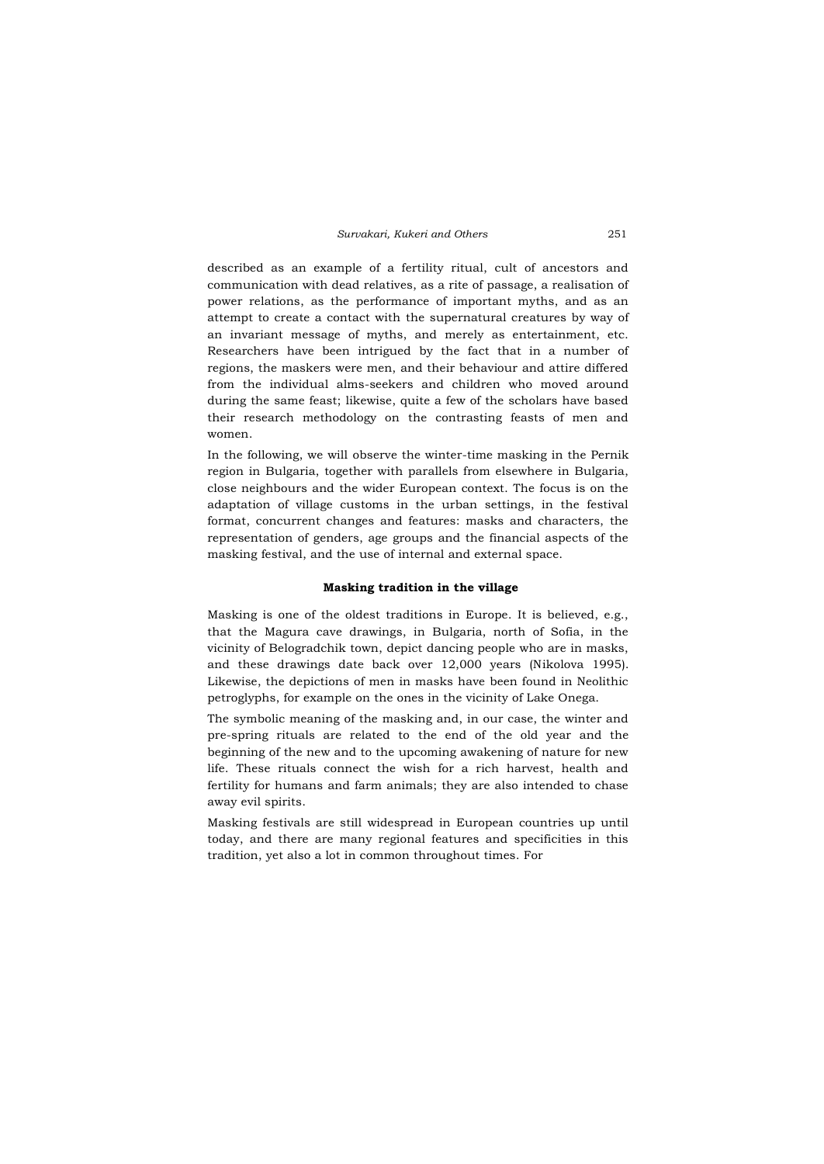described as an example of a fertility ritual, cult of ancestors and communication with dead relatives, as a rite of passage, a realisation of power relations, as the performance of important myths, and as an attempt to create a contact with the supernatural creatures by way of an invariant message of myths, and merely as entertainment, etc. Researchers have been intrigued by the fact that in a number of regions, the maskers were men, and their behaviour and attire differed from the individual alms-seekers and children who moved around during the same feast; likewise, quite a few of the scholars have based their research methodology on the contrasting feasts of men and women.

In the following, we will observe the winter-time masking in the Pernik region in Bulgaria, together with parallels from elsewhere in Bulgaria, close neighbours and the wider European context. The focus is on the adaptation of village customs in the urban settings, in the festival format, concurrent changes and features: masks and characters, the representation of genders, age groups and the financial aspects of the masking festival, and the use of internal and external space.

### **Masking tradition in the village**

Masking is one of the oldest traditions in Europe. It is believed, e.g., that the Magura cave drawings, in Bulgaria, north of Sofia, in the vicinity of Belogradchik town, depict dancing people who are in masks, and these drawings date back over 12,000 years (Nikolova 1995). Likewise, the depictions of men in masks have been found in Neolithic petroglyphs, for example on the ones in the vicinity of Lake Onega.

The symbolic meaning of the masking and, in our case, the winter and pre-spring rituals are related to the end of the old year and the beginning of the new and to the upcoming awakening of nature for new life. These rituals connect the wish for a rich harvest, health and fertility for humans and farm animals; they are also intended to chase away evil spirits.

Masking festivals are still widespread in European countries up until today, and there are many regional features and specificities in this tradition, yet also a lot in common throughout times. For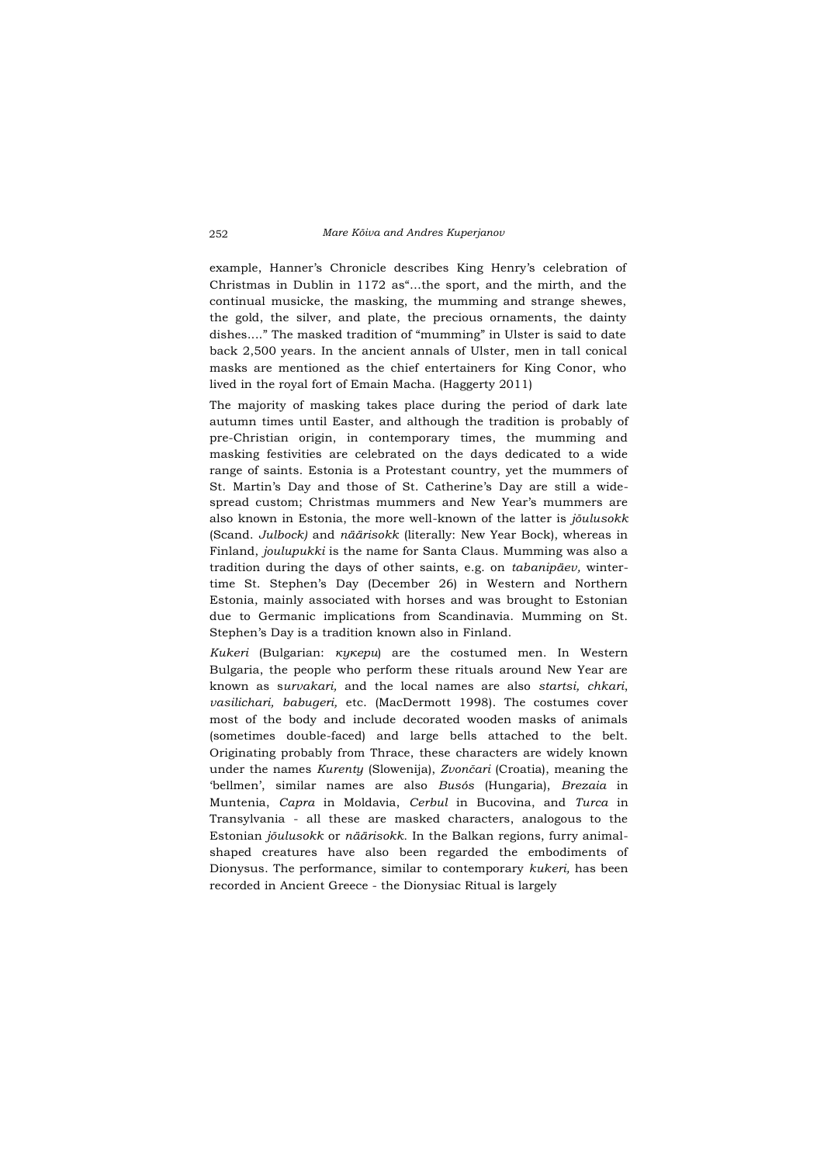example, Hanner's Chronicle describes King Henry's celebration of Christmas in Dublin in 1172 as"...the sport, and the mirth, and the continual musicke, the masking, the mumming and strange shewes, the gold, the silver, and plate, the precious ornaments, the dainty dishes...." The masked tradition of "mumming" in Ulster is said to date back 2,500 years. In the ancient annals of Ulster, men in tall conical masks are mentioned as the chief entertainers for King Conor, who lived in the royal fort of Emain Macha. (Haggerty 2011)

The majority of masking takes place during the period of dark late autumn times until Easter, and although the tradition is probably of pre-Christian origin, in contemporary times, the mumming and masking festivities are celebrated on the days dedicated to a wide range of saints. Estonia is a Protestant country, yet the mummers of St. Martin's Day and those of St. Catherine's Day are still a widespread custom; Christmas mummers and New Year's mummers are also known in Estonia, the more well-known of the latter is *jõulusokk*  (Scand. *Julbock)* and *näärisokk* (literally: New Year Bock), whereas in Finland, *joulupukki* is the name for Santa Claus. Mumming was also a tradition during the days of other saints, e.g. on *tabanipäev,* wintertime St. Stephen's Day (December 26) in Western and Northern Estonia, mainly associated with horses and was brought to Estonian due to Germanic implications from Scandinavia. Mumming on St. Stephen's Day is a tradition known also in Finland.

*Kukeri* (Bulgarian: *кукери*) are the costumed men. In Western Bulgaria, the people who perform these rituals around New Year are known as s*urvakari,* and the local names are also *startsi, chkari*, *vasilichari, babugeri,* etc. (MacDermott 1998). The costumes cover most of the body and include decorated wooden masks of animals (sometimes double-faced) and large bells attached to the belt. Originating probably from Thrace, these characters are widely known under the names *Kurenty* (Slowenija), *Zvončari* (Croatia), meaning the 'bellmen', similar names are also *Busós* (Hungaria), *Brezaia* in Muntenia, *Capra* in Moldavia, *Cerbul* in Bucovina, and *Turca* in Transylvania - all these are masked characters, analogous to the Estonian *jõulusokk* or *näärisokk.* In the Balkan regions, furry animalshaped creatures have also been regarded the embodiments of Dionysus. The performance, similar to contemporary *kukeri,* has been recorded in Ancient Greece - the Dionysiac Ritual is largely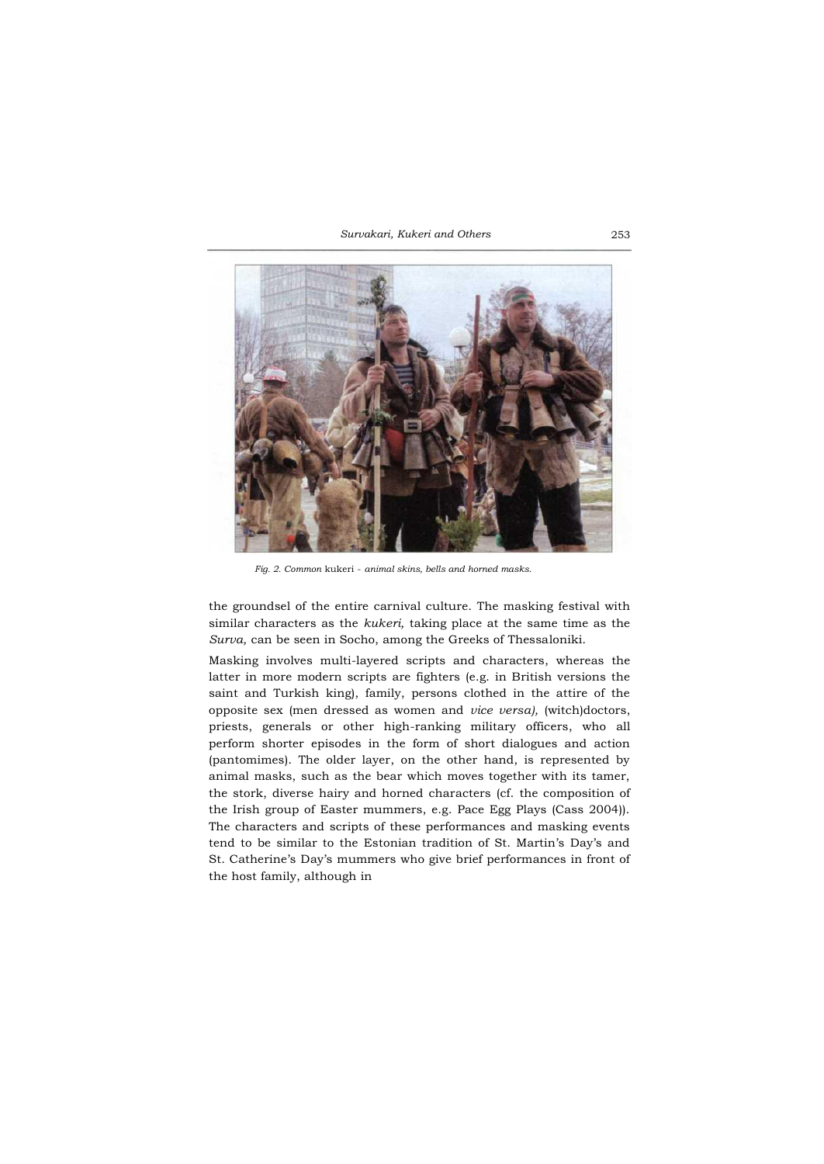*Survakari, Kukeri and Others* 253



*Fig. 2. Common* kukeri - *animal skins, bells and horned masks.*

the groundsel of the entire carnival culture. The masking festival with similar characters as the *kukeri,* taking place at the same time as the *Surva,* can be seen in Socho, among the Greeks of Thessaloniki.

Masking involves multi-layered scripts and characters, whereas the latter in more modern scripts are fighters (e.g. in British versions the saint and Turkish king), family, persons clothed in the attire of the opposite sex (men dressed as women and *vice versa),* (witch)doctors, priests, generals or other high-ranking military officers, who all perform shorter episodes in the form of short dialogues and action (pantomimes). The older layer, on the other hand, is represented by animal masks, such as the bear which moves together with its tamer, the stork, diverse hairy and horned characters (cf. the composition of the Irish group of Easter mummers, e.g. Pace Egg Plays (Cass 2004)). The characters and scripts of these performances and masking events tend to be similar to the Estonian tradition of St. Martin's Day's and St. Catherine's Day's mummers who give brief performances in front of the host family, although in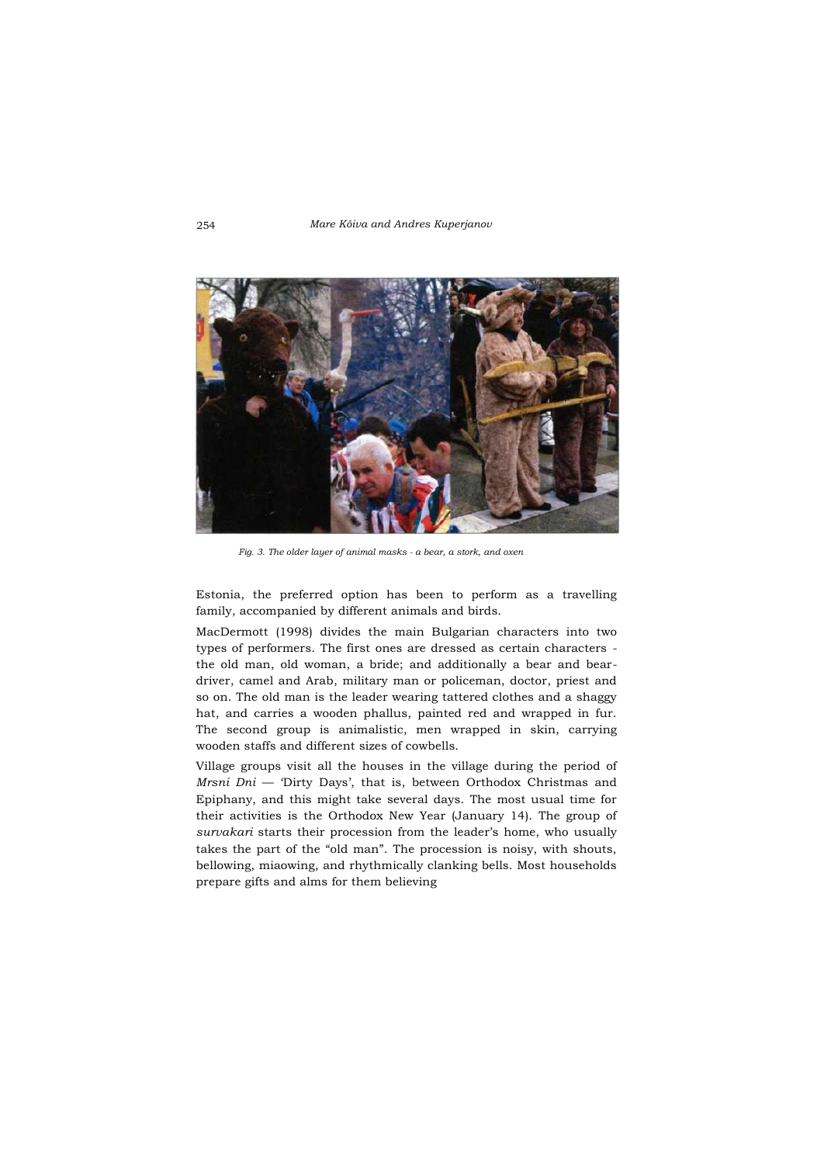

*Fig. 3. The older layer of animal masks - a bear, a stork, and oxen*

Estonia, the preferred option has been to perform as a travelling family, accompanied by different animals and birds.

MacDermott (1998) divides the main Bulgarian characters into two types of performers. The first ones are dressed as certain characters the old man, old woman, a bride; and additionally a bear and beardriver, camel and Arab, military man or policeman, doctor, priest and so on. The old man is the leader wearing tattered clothes and a shaggy hat, and carries a wooden phallus, painted red and wrapped in fur. The second group is animalistic, men wrapped in skin, carrying wooden staffs and different sizes of cowbells.

Village groups visit all the houses in the village during the period of *Mrsni Dni* — 'Dirty Days', that is, between Orthodox Christmas and Epiphany, and this might take several days. The most usual time for their activities is the Orthodox New Year (January 14). The group of *survakari* starts their procession from the leader's home, who usually takes the part of the "old man". The procession is noisy, with shouts, bellowing, miaowing, and rhythmically clanking bells. Most households prepare gifts and alms for them believing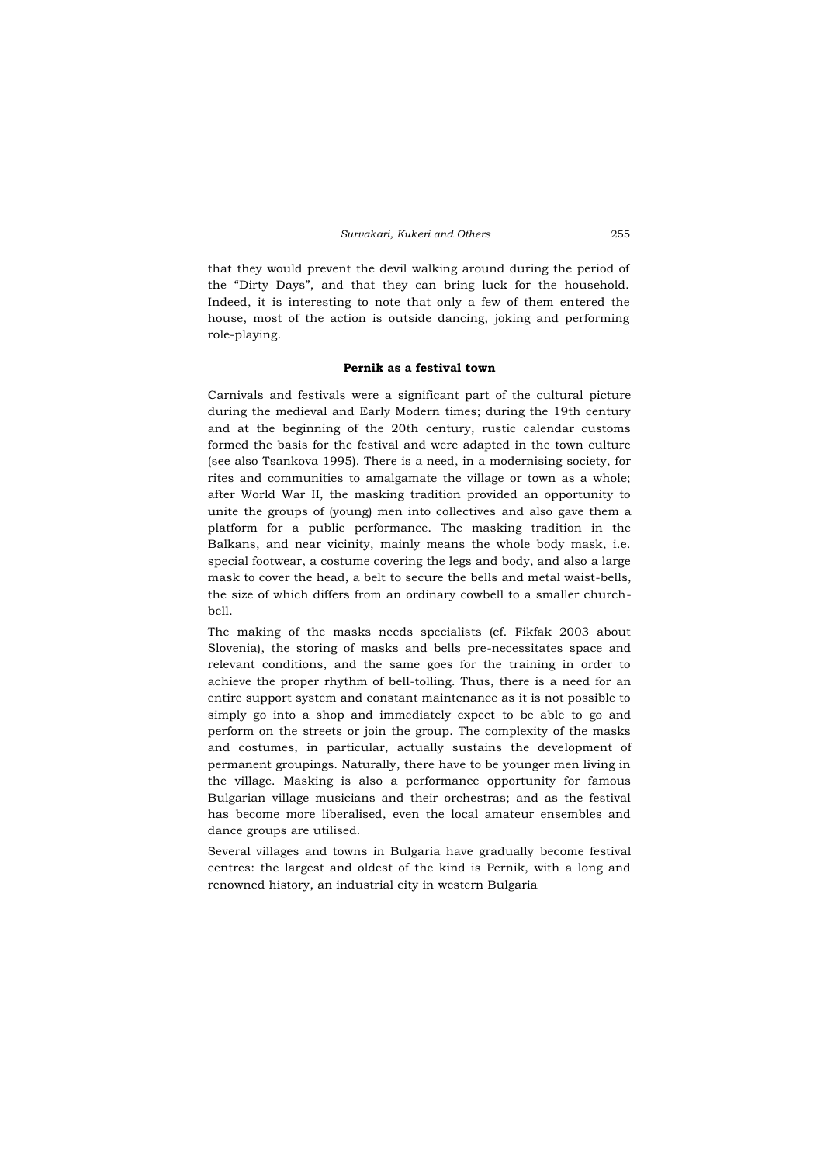that they would prevent the devil walking around during the period of the "Dirty Days", and that they can bring luck for the household. Indeed, it is interesting to note that only a few of them entered the house, most of the action is outside dancing, joking and performing role-playing.

### **Pernik as a festival town**

Carnivals and festivals were a significant part of the cultural picture during the medieval and Early Modern times; during the 19th century and at the beginning of the 20th century, rustic calendar customs formed the basis for the festival and were adapted in the town culture (see also Tsankova 1995). There is a need, in a modernising society, for rites and communities to amalgamate the village or town as a whole; after World War II, the masking tradition provided an opportunity to unite the groups of (young) men into collectives and also gave them a platform for a public performance. The masking tradition in the Balkans, and near vicinity, mainly means the whole body mask, i.e. special footwear, a costume covering the legs and body, and also a large mask to cover the head, a belt to secure the bells and metal waist-bells, the size of which differs from an ordinary cowbell to a smaller churchbell.

The making of the masks needs specialists (cf. Fikfak 2003 about Slovenia), the storing of masks and bells pre-necessitates space and relevant conditions, and the same goes for the training in order to achieve the proper rhythm of bell-tolling. Thus, there is a need for an entire support system and constant maintenance as it is not possible to simply go into a shop and immediately expect to be able to go and perform on the streets or join the group. The complexity of the masks and costumes, in particular, actually sustains the development of permanent groupings. Naturally, there have to be younger men living in the village. Masking is also a performance opportunity for famous Bulgarian village musicians and their orchestras; and as the festival has become more liberalised, even the local amateur ensembles and dance groups are utilised.

Several villages and towns in Bulgaria have gradually become festival centres: the largest and oldest of the kind is Pernik, with a long and renowned history, an industrial city in western Bulgaria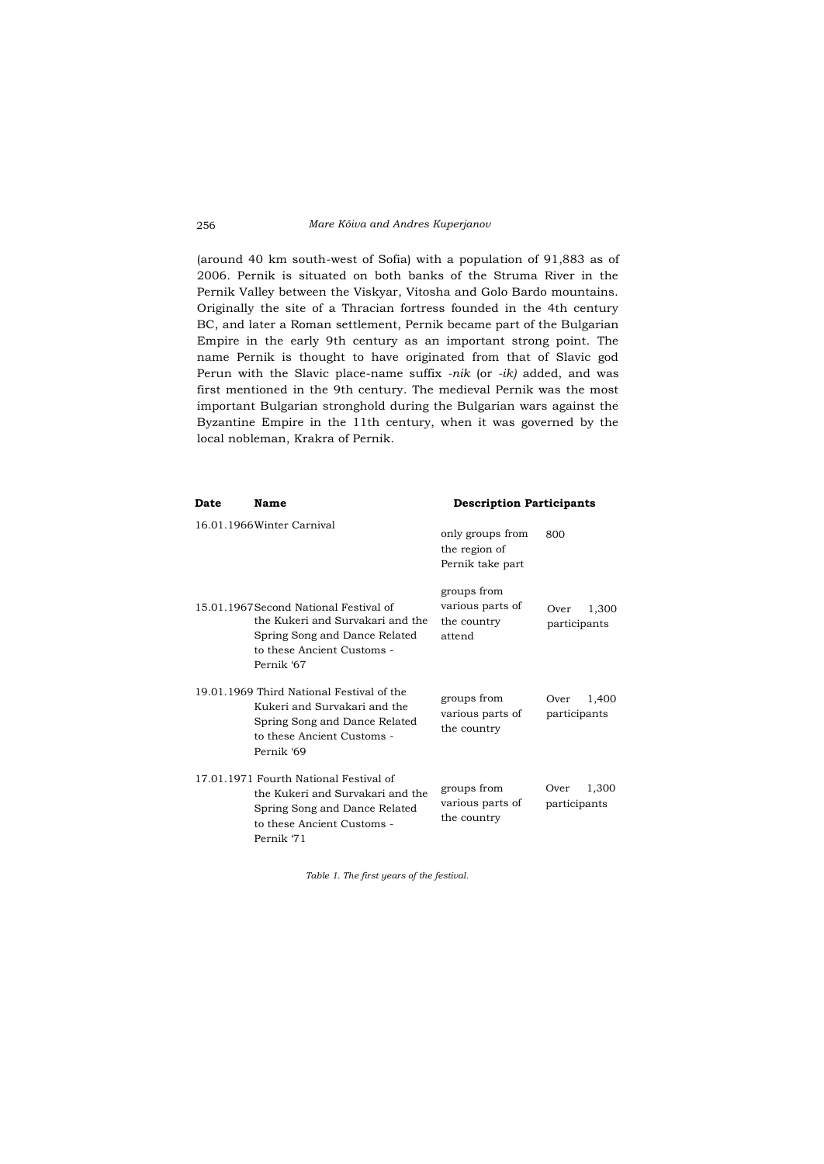(around 40 km south-west of Sofia) with a population of 91,883 as of 2006. Pernik is situated on both banks of the Struma River in the Pernik Valley between the Viskyar, Vitosha and Golo Bardo mountains. Originally the site of a Thracian fortress founded in the 4th century BC, and later a Roman settlement, Pernik became part of the Bulgarian Empire in the early 9th century as an important strong point. The name Pernik is thought to have originated from that of Slavic god Perun with the Slavic place-name suffix *-nik* (or *-ik)* added, and was first mentioned in the 9th century. The medieval Pernik was the most important Bulgarian stronghold during the Bulgarian wars against the Byzantine Empire in the 11th century, when it was governed by the local nobleman, Krakra of Pernik.

| Date | Name                                                                                                                                                    | <b>Description Participants</b>                          |                               |
|------|---------------------------------------------------------------------------------------------------------------------------------------------------------|----------------------------------------------------------|-------------------------------|
|      | 16.01.1966 Winter Carnival                                                                                                                              | only groups from<br>the region of<br>Pernik take part    | 800                           |
|      | 15.01.1967 Second National Festival of<br>the Kukeri and Survakari and the<br>Spring Song and Dance Related<br>to these Ancient Customs -<br>Pernik '67 | groups from<br>various parts of<br>the country<br>attend | 1,300<br>Over<br>participants |
|      | 19.01.1969 Third National Festival of the<br>Kukeri and Survakari and the<br>Spring Song and Dance Related<br>to these Ancient Customs -<br>Pernik '69  | groups from<br>various parts of<br>the country           | 1,400<br>Over<br>participants |
|      | 17.01.1971 Fourth National Festival of<br>the Kukeri and Survakari and the<br>Spring Song and Dance Related<br>to these Ancient Customs -<br>Pernik '71 | groups from<br>various parts of<br>the country           | 1,300<br>Over<br>participants |

*Table 1. The first years of the festival.*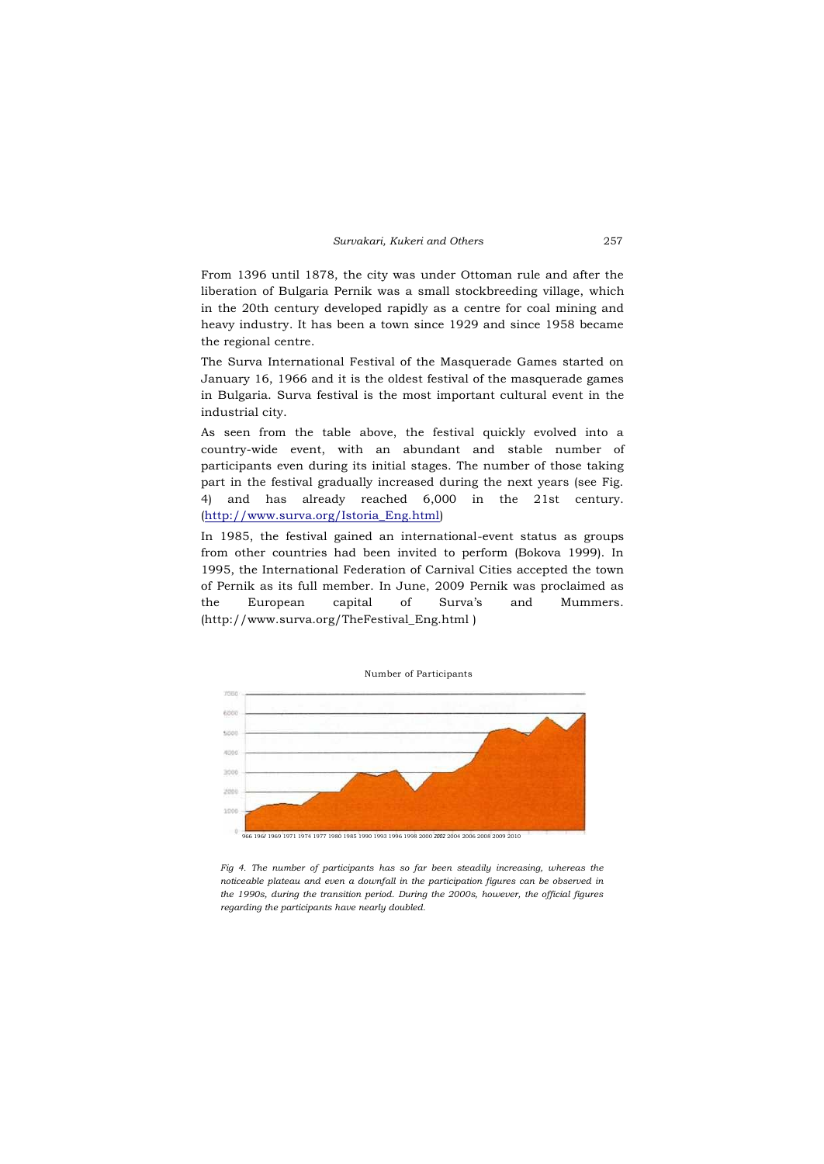From 1396 until 1878, the city was under Ottoman rule and after the liberation of Bulgaria Pernik was a small stockbreeding village, which in the 20th century developed rapidly as a centre for coal mining and heavy industry. It has been a town since 1929 and since 1958 became the regional centre.

The Surva International Festival of the Masquerade Games started on January 16, 1966 and it is the oldest festival of the masquerade games in Bulgaria. Surva festival is the most important cultural event in the industrial city.

As seen from the table above, the festival quickly evolved into a country-wide event, with an abundant and stable number of participants even during its initial stages. The number of those taking part in the festival gradually increased during the next years (see Fig. 4) and has already reached 6,000 in the 21st century. [\(http://www.surva.org/Istoria\\_Eng.html\)](http://www.surva.org/Istoria_Eng.html)

In 1985, the festival gained an international-event status as groups from other countries had been invited to perform (Bokova 1999). In 1995, the International Federation of Carnival Cities accepted the town of Pernik as its full member. In June, 2009 Pernik was proclaimed as the European capital of Surva's and Mummers. (http://www.surva.org/TheFestival\_Eng.html )



*Fig 4. The number of participants has so far been steadily increasing, whereas the noticeable plateau and even a downfall in the participation figures can be observed in the 1990s, during the transition period. During the 2000s, however, the official figures regarding the participants have nearly doubled.*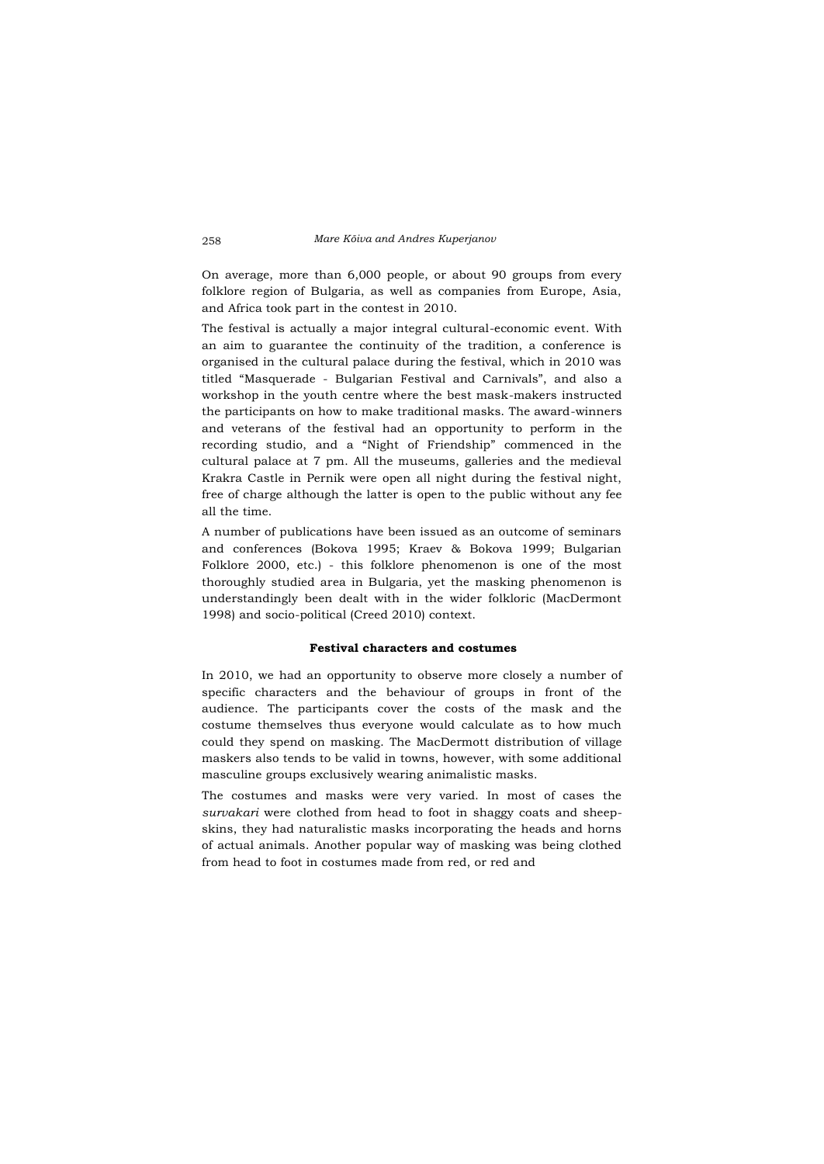On average, more than 6,000 people, or about 90 groups from every folklore region of Bulgaria, as well as companies from Europe, Asia, and Africa took part in the contest in 2010.

The festival is actually a major integral cultural-economic event. With an aim to guarantee the continuity of the tradition, a conference is organised in the cultural palace during the festival, which in 2010 was titled "Masquerade - Bulgarian Festival and Carnivals", and also a workshop in the youth centre where the best mask-makers instructed the participants on how to make traditional masks. The award-winners and veterans of the festival had an opportunity to perform in the recording studio, and a "Night of Friendship" commenced in the cultural palace at 7 pm. All the museums, galleries and the medieval Krakra Castle in Pernik were open all night during the festival night, free of charge although the latter is open to the public without any fee all the time.

A number of publications have been issued as an outcome of seminars and conferences (Bokova 1995; Kraev & Bokova 1999; Bulgarian Folklore 2000, etc.) - this folklore phenomenon is one of the most thoroughly studied area in Bulgaria, yet the masking phenomenon is understandingly been dealt with in the wider folkloric (MacDermont 1998) and socio-political (Creed 2010) context.

# **Festival characters and costumes**

In 2010, we had an opportunity to observe more closely a number of specific characters and the behaviour of groups in front of the audience. The participants cover the costs of the mask and the costume themselves thus everyone would calculate as to how much could they spend on masking. The MacDermott distribution of village maskers also tends to be valid in towns, however, with some additional masculine groups exclusively wearing animalistic masks.

The costumes and masks were very varied. In most of cases the *survakari* were clothed from head to foot in shaggy coats and sheepskins, they had naturalistic masks incorporating the heads and horns of actual animals. Another popular way of masking was being clothed from head to foot in costumes made from red, or red and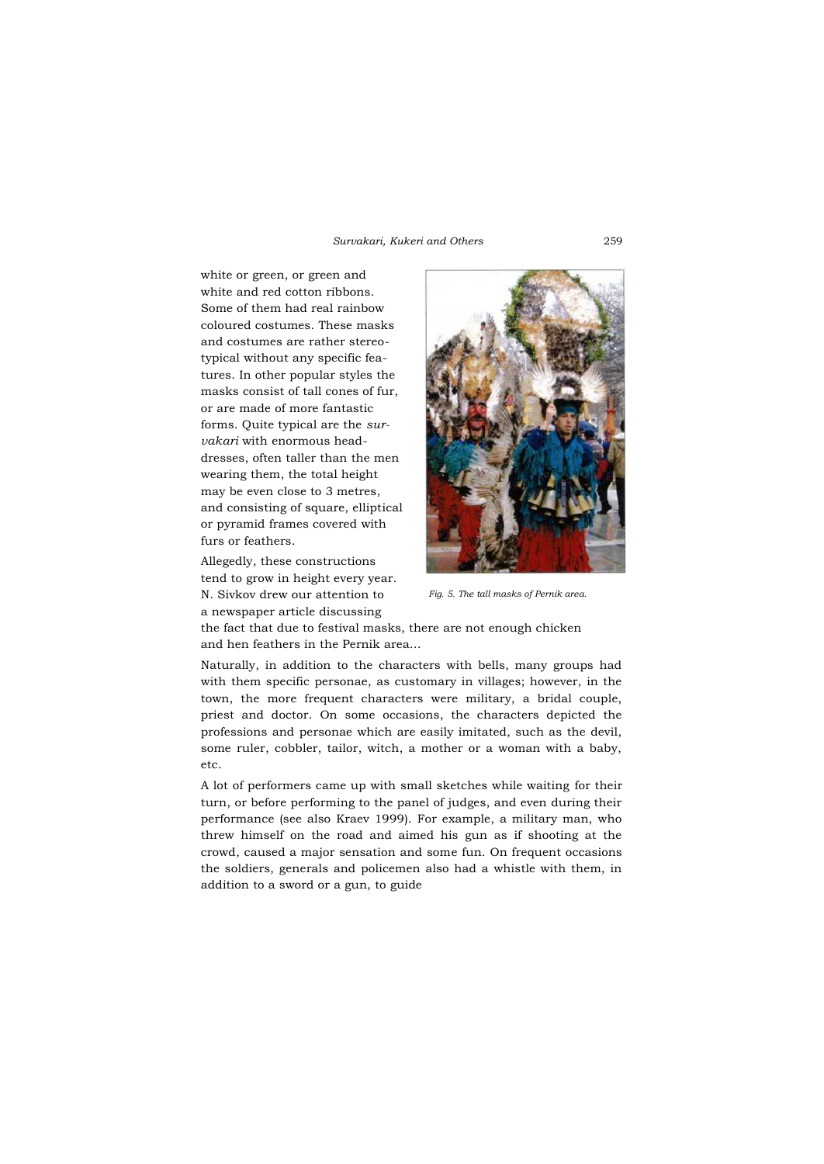white or green, or green and white and red cotton ribbons. Some of them had real rainbow coloured costumes. These masks and costumes are rather stereotypical without any specific features. In other popular styles the masks consist of tall cones of fur, or are made of more fantastic forms. Quite typical are the *survakari* with enormous headdresses, often taller than the men wearing them, the total height may be even close to 3 metres, and consisting of square, elliptical or pyramid frames covered with furs or feathers.

Allegedly, these constructions tend to grow in height every year. N. Sivkov drew our attention to a newspaper article discussing



*Fig. 5. The tall masks of Pernik area.*

the fact that due to festival masks, there are not enough chicken and hen feathers in the Pernik area...

Naturally, in addition to the characters with bells, many groups had with them specific personae, as customary in villages; however, in the town, the more frequent characters were military, a bridal couple, priest and doctor. On some occasions, the characters depicted the professions and personae which are easily imitated, such as the devil, some ruler, cobbler, tailor, witch, a mother or a woman with a baby, etc.

A lot of performers came up with small sketches while waiting for their turn, or before performing to the panel of judges, and even during their performance (see also Kraev 1999). For example, a military man, who threw himself on the road and aimed his gun as if shooting at the crowd, caused a major sensation and some fun. On frequent occasions the soldiers, generals and policemen also had a whistle with them, in addition to a sword or a gun, to guide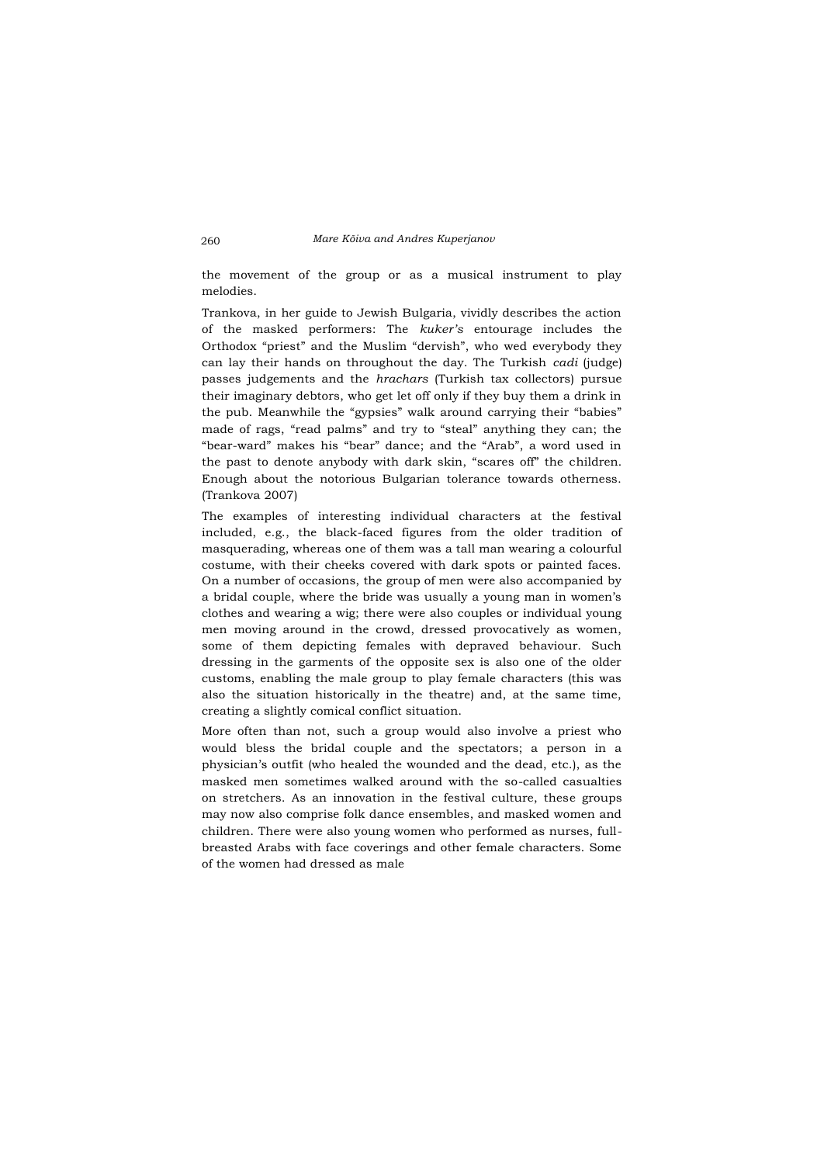the movement of the group or as a musical instrument to play melodies.

Trankova, in her guide to Jewish Bulgaria, vividly describes the action of the masked performers: The *kuker's* entourage includes the Orthodox "priest" and the Muslim "dervish", who wed everybody they can lay their hands on throughout the day. The Turkish *cadi* (judge) passes judgements and the *hrachars* (Turkish tax collectors) pursue their imaginary debtors, who get let off only if they buy them a drink in the pub. Meanwhile the "gypsies" walk around carrying their "babies" made of rags, "read palms" and try to "steal" anything they can; the "bear-ward" makes his "bear" dance; and the "Arab", a word used in the past to denote anybody with dark skin, "scares off" the children. Enough about the notorious Bulgarian tolerance towards otherness. (Trankova 2007)

The examples of interesting individual characters at the festival included, e.g., the black-faced figures from the older tradition of masquerading, whereas one of them was a tall man wearing a colourful costume, with their cheeks covered with dark spots or painted faces. On a number of occasions, the group of men were also accompanied by a bridal couple, where the bride was usually a young man in women's clothes and wearing a wig; there were also couples or individual young men moving around in the crowd, dressed provocatively as women, some of them depicting females with depraved behaviour. Such dressing in the garments of the opposite sex is also one of the older customs, enabling the male group to play female characters (this was also the situation historically in the theatre) and, at the same time, creating a slightly comical conflict situation.

More often than not, such a group would also involve a priest who would bless the bridal couple and the spectators; a person in a physician's outfit (who healed the wounded and the dead, etc.), as the masked men sometimes walked around with the so-called casualties on stretchers. As an innovation in the festival culture, these groups may now also comprise folk dance ensembles, and masked women and children. There were also young women who performed as nurses, fullbreasted Arabs with face coverings and other female characters. Some of the women had dressed as male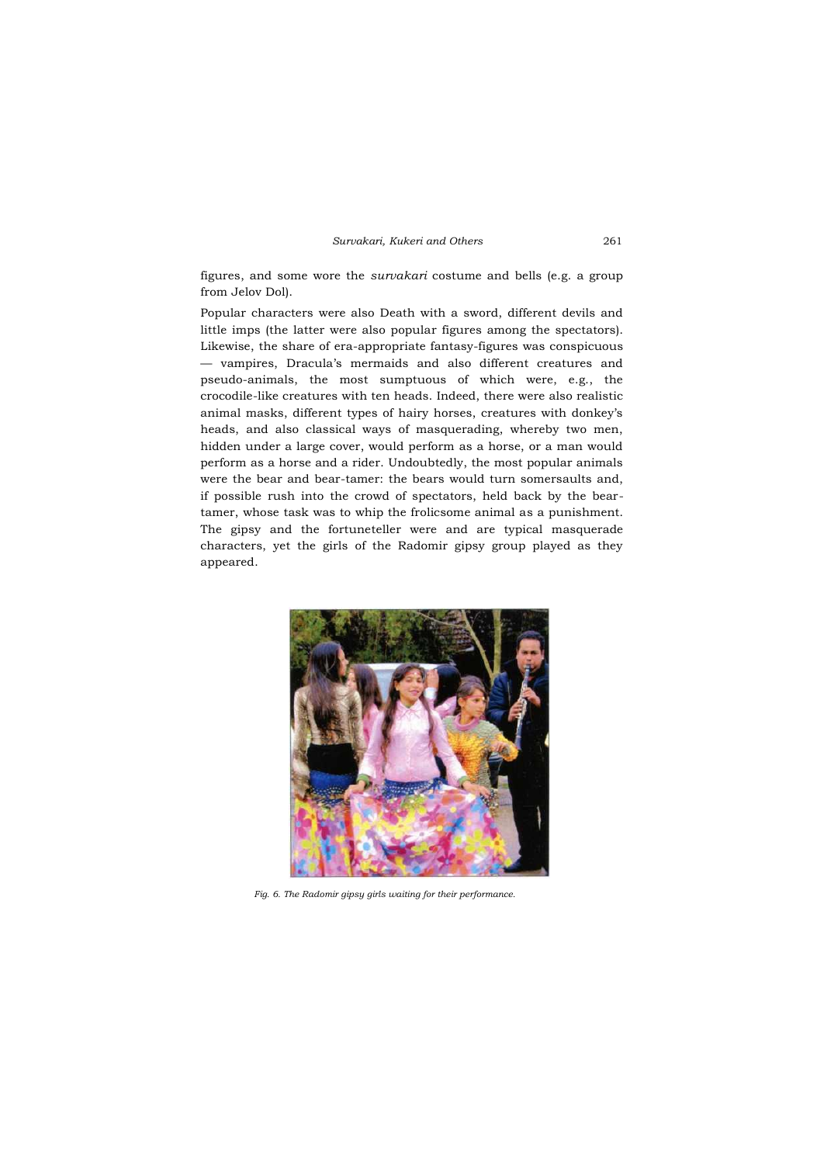figures, and some wore the *survakari* costume and bells (e.g. a group from Jelov Dol).

Popular characters were also Death with a sword, different devils and little imps (the latter were also popular figures among the spectators). Likewise, the share of era-appropriate fantasy-figures was conspicuous — vampires, Dracula's mermaids and also different creatures and pseudo-animals, the most sumptuous of which were, e.g., the crocodile-like creatures with ten heads. Indeed, there were also realistic animal masks, different types of hairy horses, creatures with donkey's heads, and also classical ways of masquerading, whereby two men, hidden under a large cover, would perform as a horse, or a man would perform as a horse and a rider. Undoubtedly, the most popular animals were the bear and bear-tamer: the bears would turn somersaults and, if possible rush into the crowd of spectators, held back by the beartamer, whose task was to whip the frolicsome animal as a punishment. The gipsy and the fortuneteller were and are typical masquerade characters, yet the girls of the Radomir gipsy group played as they appeared.



*Fig. 6. The Radomir gipsy girls waiting for their performance.*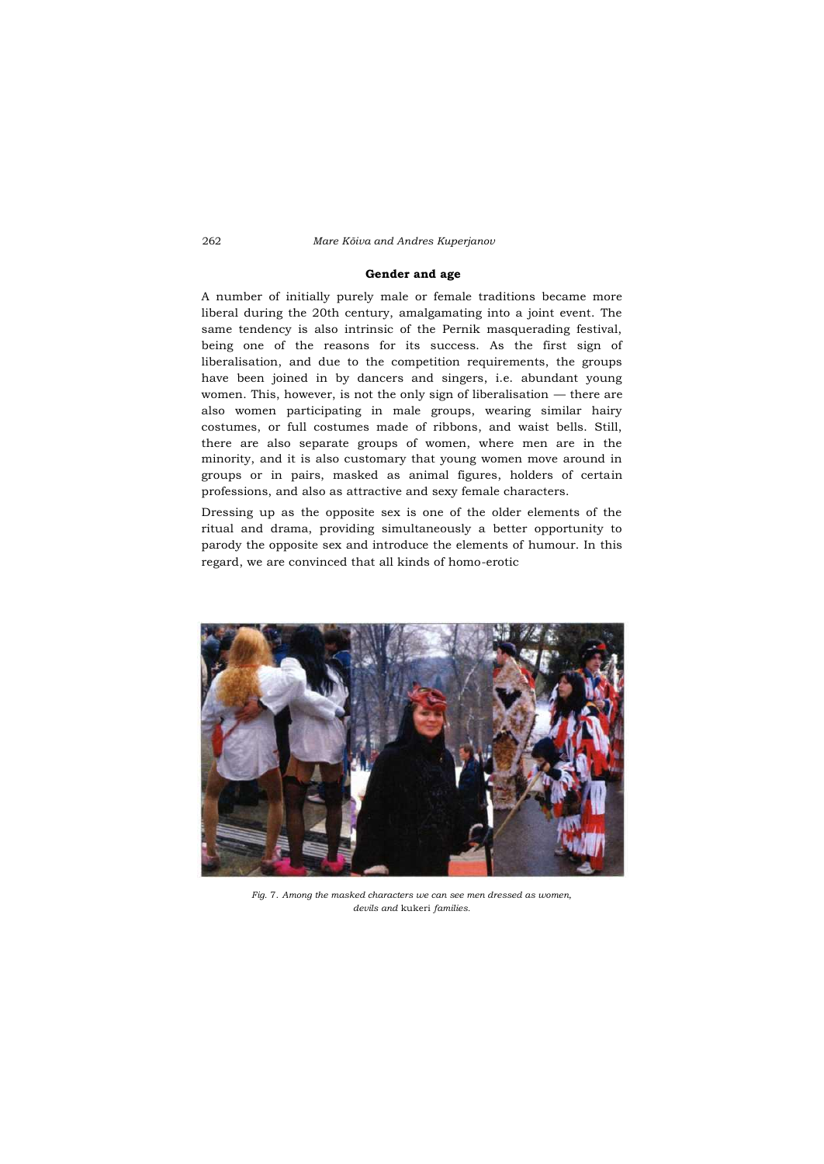#### **Gender and age**

A number of initially purely male or female traditions became more liberal during the 20th century, amalgamating into a joint event. The same tendency is also intrinsic of the Pernik masquerading festival, being one of the reasons for its success. As the first sign of liberalisation, and due to the competition requirements, the groups have been joined in by dancers and singers, i.e. abundant young women. This, however, is not the only sign of liberalisation — there are also women participating in male groups, wearing similar hairy costumes, or full costumes made of ribbons, and waist bells. Still, there are also separate groups of women, where men are in the minority, and it is also customary that young women move around in groups or in pairs, masked as animal figures, holders of certain professions, and also as attractive and sexy female characters.

Dressing up as the opposite sex is one of the older elements of the ritual and drama, providing simultaneously a better opportunity to parody the opposite sex and introduce the elements of humour. In this regard, we are convinced that all kinds of homo-erotic



*Fig.* 7. *Among the masked characters we can see men dressed as women, devils and* kukeri *families.*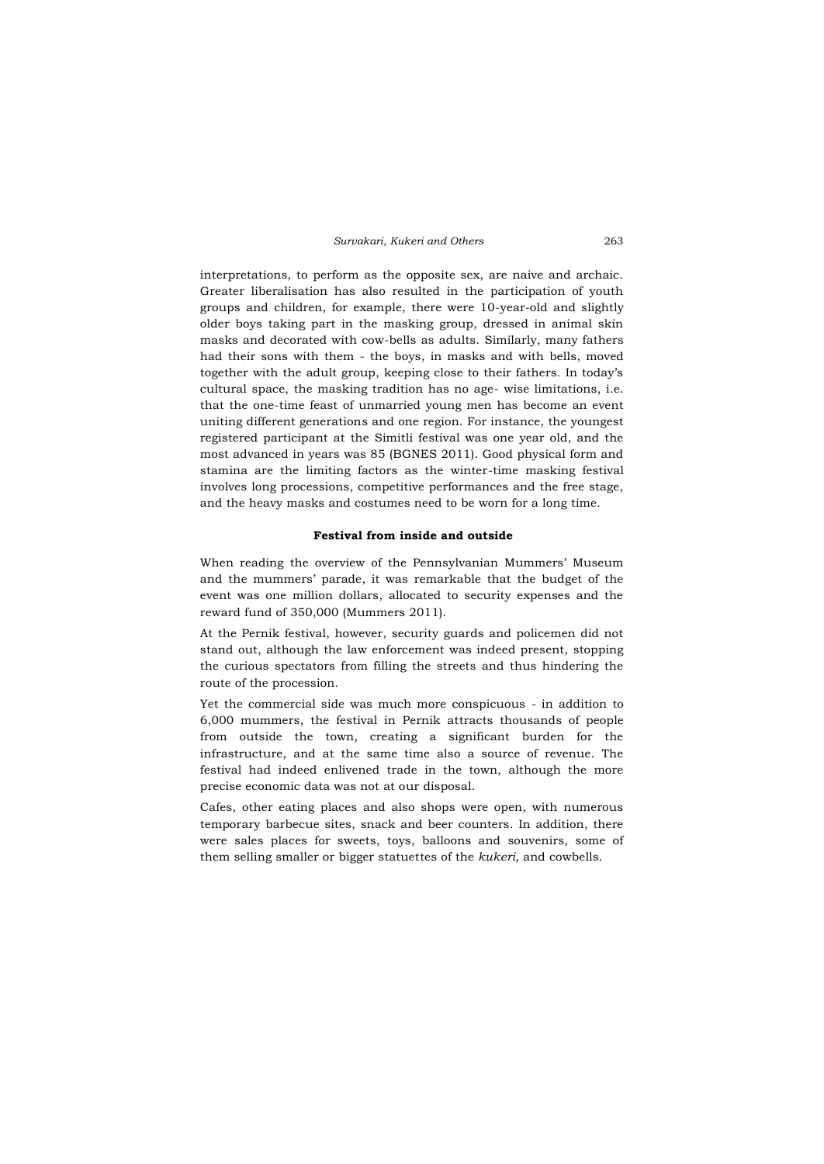interpretations, to perform as the opposite sex, are naive and archaic. Greater liberalisation has also resulted in the participation of youth groups and children, for example, there were 10-year-old and slightly older boys taking part in the masking group, dressed in animal skin masks and decorated with cow-bells as adults. Similarly, many fathers had their sons with them - the boys, in masks and with bells, moved together with the adult group, keeping close to their fathers. In today's cultural space, the masking tradition has no age- wise limitations, i.e. that the one-time feast of unmarried young men has become an event uniting different generations and one region. For instance, the youngest registered participant at the Simitli festival was one year old, and the most advanced in years was 85 (BGNES 2011). Good physical form and stamina are the limiting factors as the winter-time masking festival involves long processions, competitive performances and the free stage, and the heavy masks and costumes need to be worn for a long time.

# **Festival from inside and outside**

When reading the overview of the Pennsylvanian Mummers' Museum and the mummers' parade, it was remarkable that the budget of the event was one million dollars, allocated to security expenses and the reward fund of 350,000 (Mummers 2011).

At the Pernik festival, however, security guards and policemen did not stand out, although the law enforcement was indeed present, stopping the curious spectators from filling the streets and thus hindering the route of the procession.

Yet the commercial side was much more conspicuous - in addition to 6,000 mummers, the festival in Pernik attracts thousands of people from outside the town, creating a significant burden for the infrastructure, and at the same time also a source of revenue. The festival had indeed enlivened trade in the town, although the more precise economic data was not at our disposal.

Cafes, other eating places and also shops were open, with numerous temporary barbecue sites, snack and beer counters. In addition, there were sales places for sweets, toys, balloons and souvenirs, some of them selling smaller or bigger statuettes of the *kukeri,* and cowbells.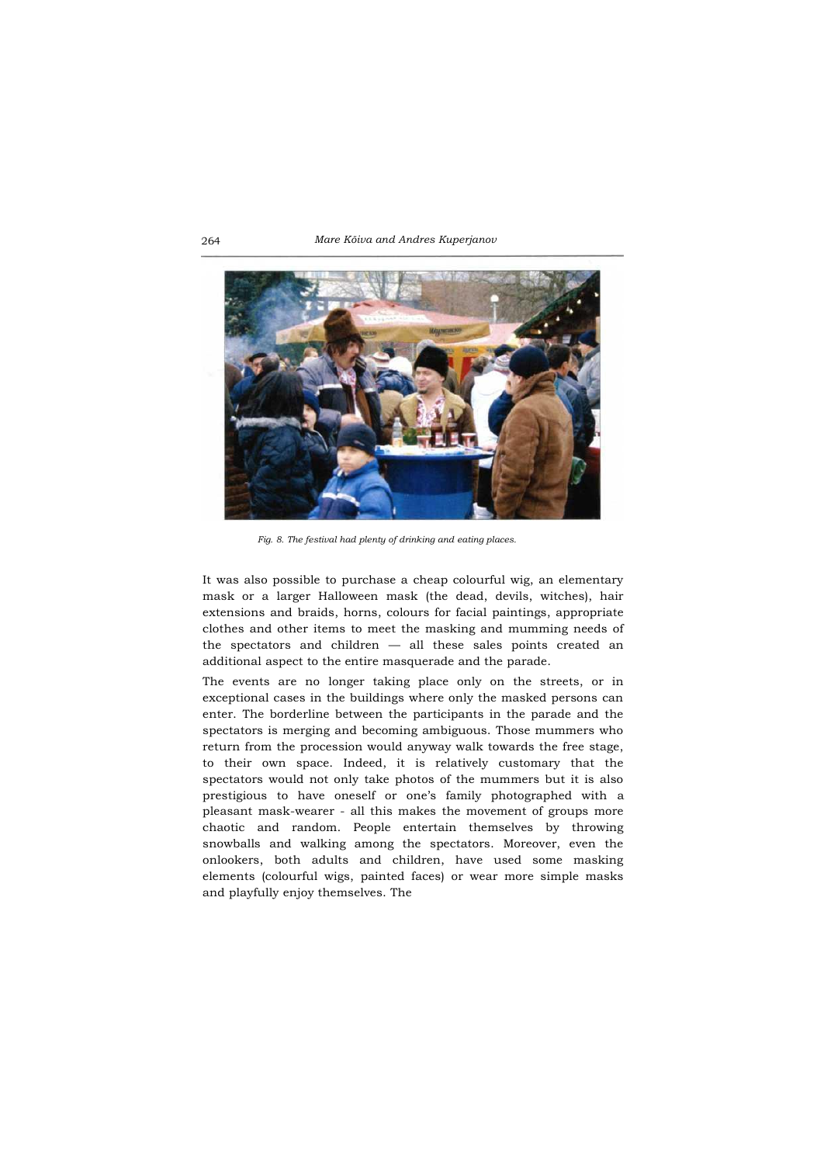264 *Mare Kõiva and Andres Kuperjanov*



*Fig. 8. The festival had plenty of drinking and eating places.*

It was also possible to purchase a cheap colourful wig, an elementary mask or a larger Halloween mask (the dead, devils, witches), hair extensions and braids, horns, colours for facial paintings, appropriate clothes and other items to meet the masking and mumming needs of the spectators and children — all these sales points created an additional aspect to the entire masquerade and the parade.

The events are no longer taking place only on the streets, or in exceptional cases in the buildings where only the masked persons can enter. The borderline between the participants in the parade and the spectators is merging and becoming ambiguous. Those mummers who return from the procession would anyway walk towards the free stage, to their own space. Indeed, it is relatively customary that the spectators would not only take photos of the mummers but it is also prestigious to have oneself or one's family photographed with a pleasant mask-wearer - all this makes the movement of groups more chaotic and random. People entertain themselves by throwing snowballs and walking among the spectators. Moreover, even the onlookers, both adults and children, have used some masking elements (colourful wigs, painted faces) or wear more simple masks and playfully enjoy themselves. The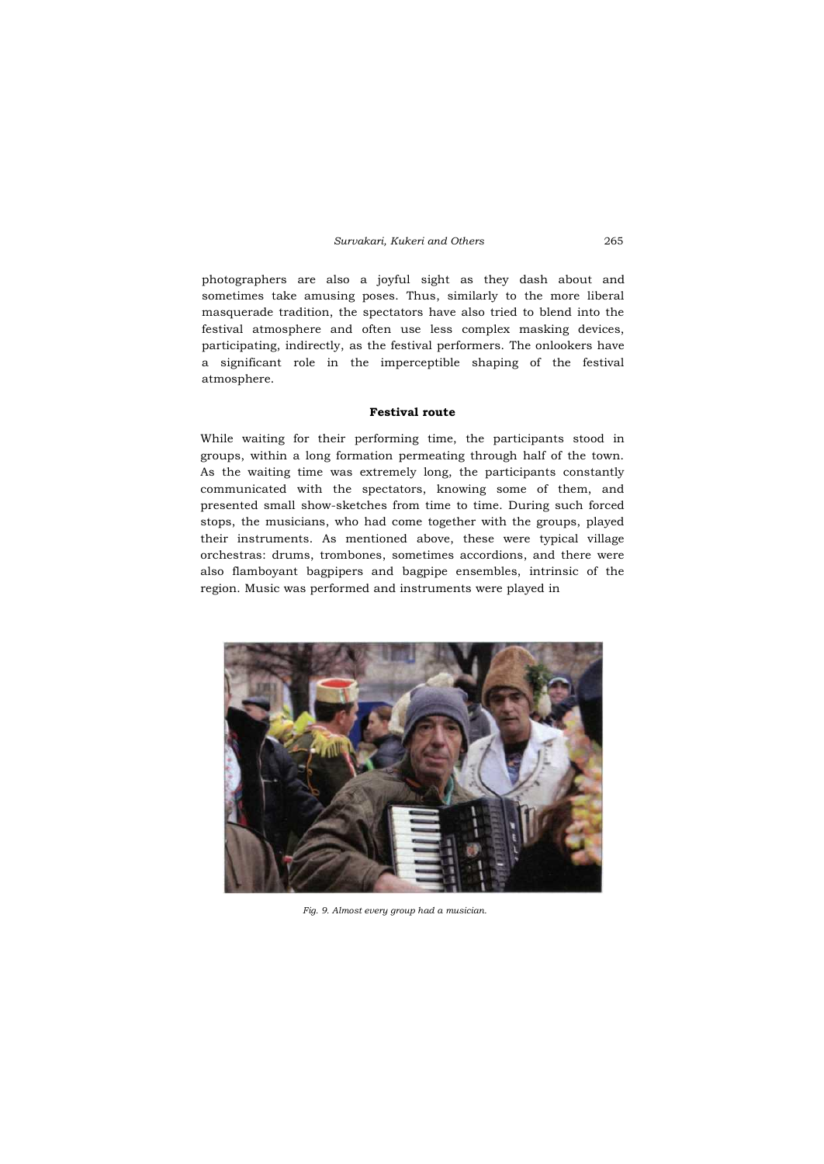photographers are also a joyful sight as they dash about and sometimes take amusing poses. Thus, similarly to the more liberal masquerade tradition, the spectators have also tried to blend into the festival atmosphere and often use less complex masking devices, participating, indirectly, as the festival performers. The onlookers have a significant role in the imperceptible shaping of the festival atmosphere.

# **Festival route**

While waiting for their performing time, the participants stood in groups, within a long formation permeating through half of the town. As the waiting time was extremely long, the participants constantly communicated with the spectators, knowing some of them, and presented small show-sketches from time to time. During such forced stops, the musicians, who had come together with the groups, played their instruments. As mentioned above, these were typical village orchestras: drums, trombones, sometimes accordions, and there were also flamboyant bagpipers and bagpipe ensembles, intrinsic of the region. Music was performed and instruments were played in



*Fig. 9. Almost every group had a musician.*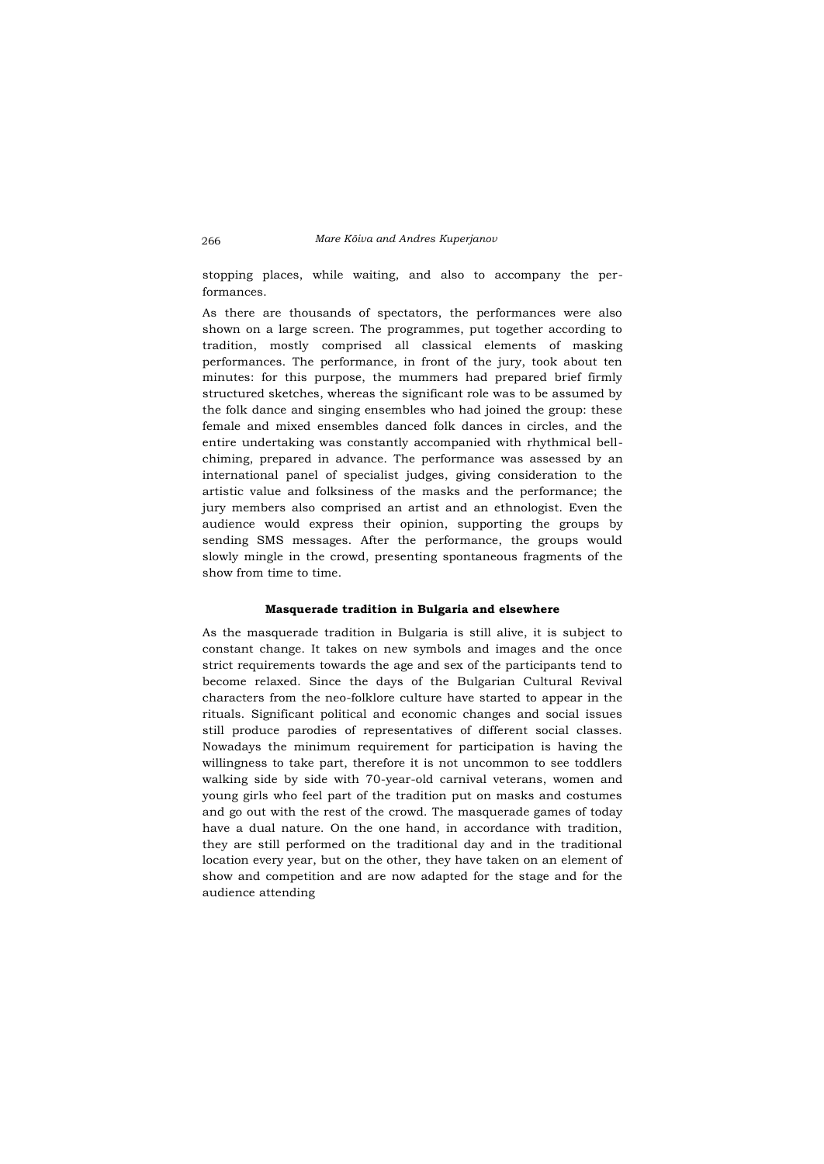stopping places, while waiting, and also to accompany the performances.

As there are thousands of spectators, the performances were also shown on a large screen. The programmes, put together according to tradition, mostly comprised all classical elements of masking performances. The performance, in front of the jury, took about ten minutes: for this purpose, the mummers had prepared brief firmly structured sketches, whereas the significant role was to be assumed by the folk dance and singing ensembles who had joined the group: these female and mixed ensembles danced folk dances in circles, and the entire undertaking was constantly accompanied with rhythmical bellchiming, prepared in advance. The performance was assessed by an international panel of specialist judges, giving consideration to the artistic value and folksiness of the masks and the performance; the jury members also comprised an artist and an ethnologist. Even the audience would express their opinion, supporting the groups by sending SMS messages. After the performance, the groups would slowly mingle in the crowd, presenting spontaneous fragments of the show from time to time.

# **Masquerade tradition in Bulgaria and elsewhere**

As the masquerade tradition in Bulgaria is still alive, it is subject to constant change. It takes on new symbols and images and the once strict requirements towards the age and sex of the participants tend to become relaxed. Since the days of the Bulgarian Cultural Revival characters from the neo-folklore culture have started to appear in the rituals. Significant political and economic changes and social issues still produce parodies of representatives of different social classes. Nowadays the minimum requirement for participation is having the willingness to take part, therefore it is not uncommon to see toddlers walking side by side with 70-year-old carnival veterans, women and young girls who feel part of the tradition put on masks and costumes and go out with the rest of the crowd. The masquerade games of today have a dual nature. On the one hand, in accordance with tradition, they are still performed on the traditional day and in the traditional location every year, but on the other, they have taken on an element of show and competition and are now adapted for the stage and for the audience attending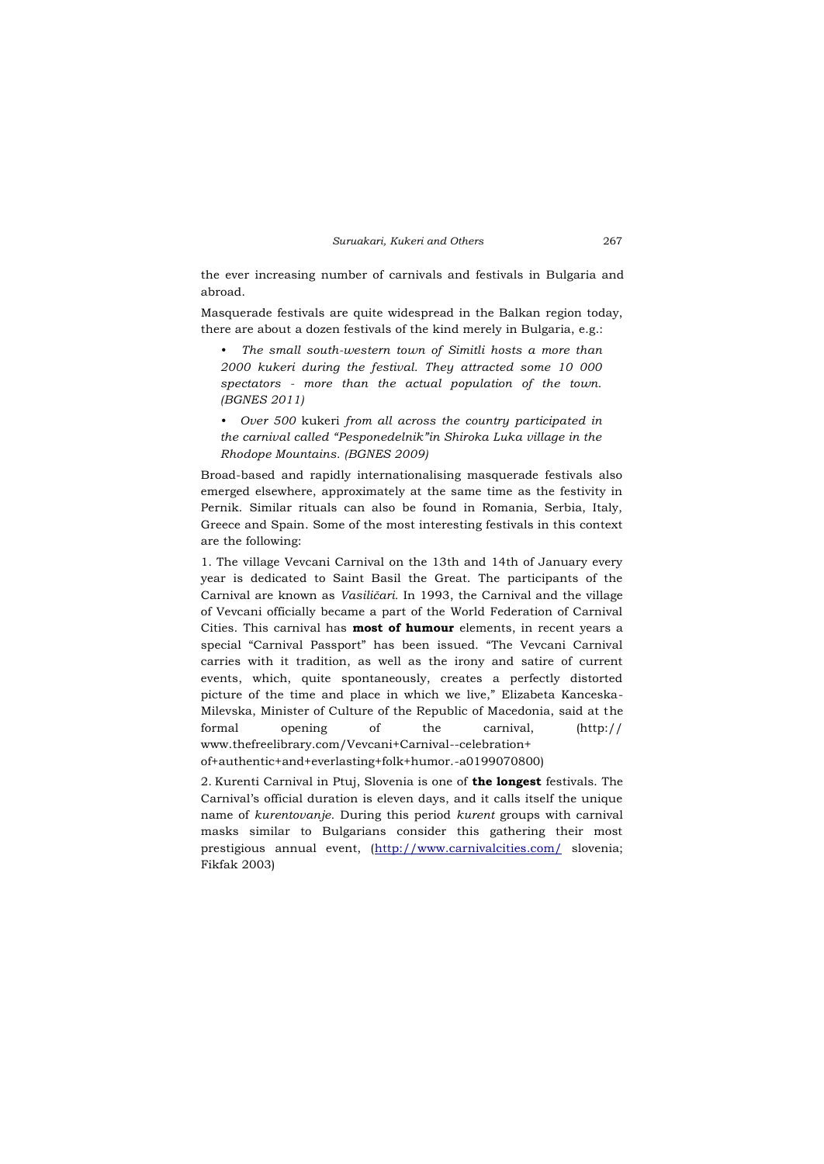the ever increasing number of carnivals and festivals in Bulgaria and abroad.

Masquerade festivals are quite widespread in the Balkan region today, there are about a dozen festivals of the kind merely in Bulgaria, e.g.:

*• The small south-western town of Simitli hosts a more than 2000 kukeri during the festival. They attracted some 10 000 spectators - more than the actual population of the town. (BGNES 2011)*

*• Over 500* kukeri *from all across the country participated in the carnival called "Pesponedelnik"in Shiroka Luka village in the Rhodope Mountains. (BGNES 2009)*

Broad-based and rapidly internationalising masquerade festivals also emerged elsewhere, approximately at the same time as the festivity in Pernik. Similar rituals can also be found in Romania, Serbia, Italy, Greece and Spain. Some of the most interesting festivals in this context are the following:

1. The village Vevcani Carnival on the 13th and 14th of January every year is dedicated to Saint Basil the Great. The participants of the Carnival are known as *Vasiličari.* In 1993, the Carnival and the village of Vevcani officially became a part of the World Federation of Carnival Cities. This carnival has **most of humour** elements, in recent years a special "Carnival Passport" has been issued. "The Vevcani Carnival carries with it tradition, as well as the irony and satire of current events, which, quite spontaneously, creates a perfectly distorted picture of the time and place in which we live," Elizabeta Kanceska-Milevska, Minister of Culture of the Republic of Macedonia, said at the formal opening of the carnival, (http:// www.thefreelibrary.com/Vevcani+Carnival--celebration+ of+authentic+and+everlasting+folk+humor.-a0199070800)

2. Kurenti Carnival in Ptuj, Slovenia is one of **the longest** festivals. The Carnival's official duration is eleven days, and it calls itself the unique name of *kurentovanje.* During this period *kurent* groups with carnival masks similar to Bulgarians consider this gathering their most prestigious annual event, [\(http://www.carnivalcities.com/](http://www.carnivalcities.com/) slovenia; Fikfak 2003)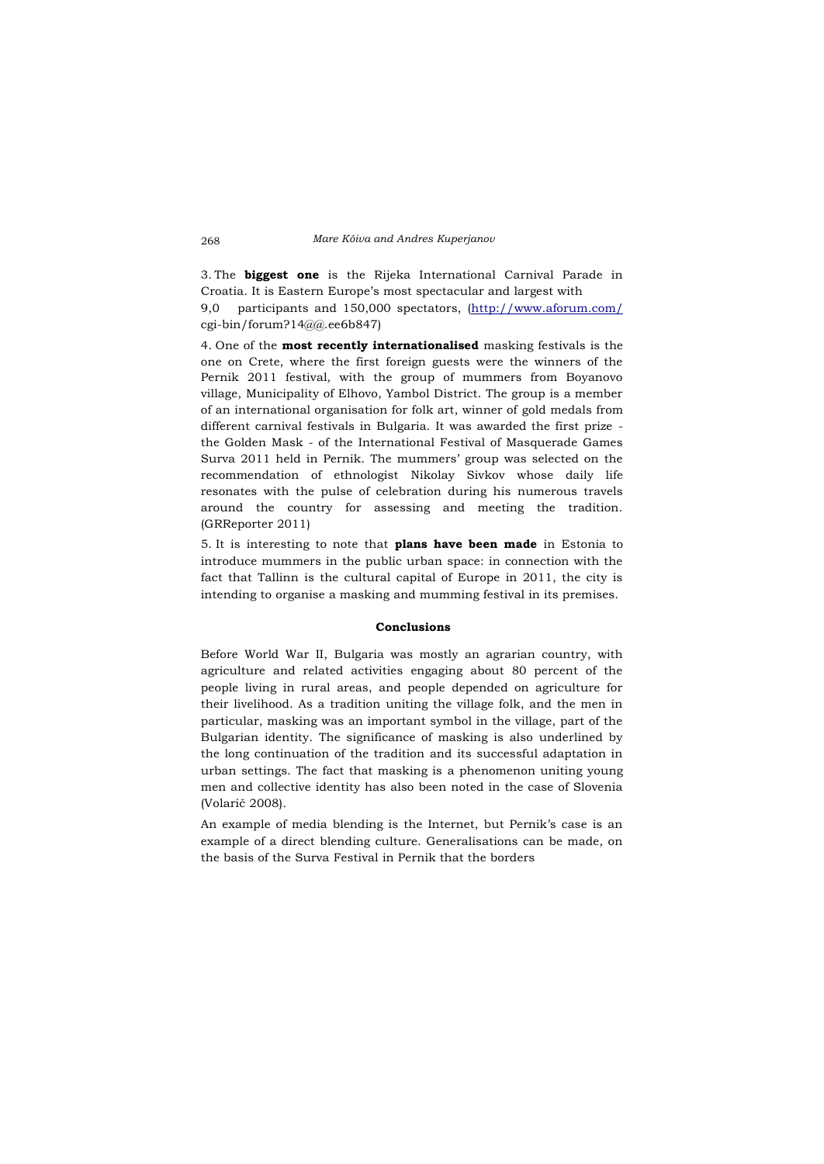3. The **biggest one** is the Rijeka International Carnival Parade in Croatia. It is Eastern Europe's most spectacular and largest with 9,0 participants and 150,000 spectators, [\(http://www.aforum.com/](http://www.aforum.com/) cgi-bin/forum?14@@.ee6b847)

4. One of the **most recently internationalised** masking festivals is the one on Crete, where the first foreign guests were the winners of the Pernik 2011 festival, with the group of mummers from Boyanovo village, Municipality of Elhovo, Yambol District. The group is a member of an international organisation for folk art, winner of gold medals from different carnival festivals in Bulgaria. It was awarded the first prize the Golden Mask - of the International Festival of Masquerade Games Surva 2011 held in Pernik. The mummers' group was selected on the recommendation of ethnologist Nikolay Sivkov whose daily life resonates with the pulse of celebration during his numerous travels around the country for assessing and meeting the tradition. (GRReporter 2011)

5. It is interesting to note that **plans have been made** in Estonia to introduce mummers in the public urban space: in connection with the fact that Tallinn is the cultural capital of Europe in 2011, the city is intending to organise a masking and mumming festival in its premises.

### **Conclusions**

Before World War II, Bulgaria was mostly an agrarian country, with agriculture and related activities engaging about 80 percent of the people living in rural areas, and people depended on agriculture for their livelihood. As a tradition uniting the village folk, and the men in particular, masking was an important symbol in the village, part of the Bulgarian identity. The significance of masking is also underlined by the long continuation of the tradition and its successful adaptation in urban settings. The fact that masking is a phenomenon uniting young men and collective identity has also been noted in the case of Slovenia (Volarič 2008).

An example of media blending is the Internet, but Pernik's case is an example of a direct blending culture. Generalisations can be made, on the basis of the Surva Festival in Pernik that the borders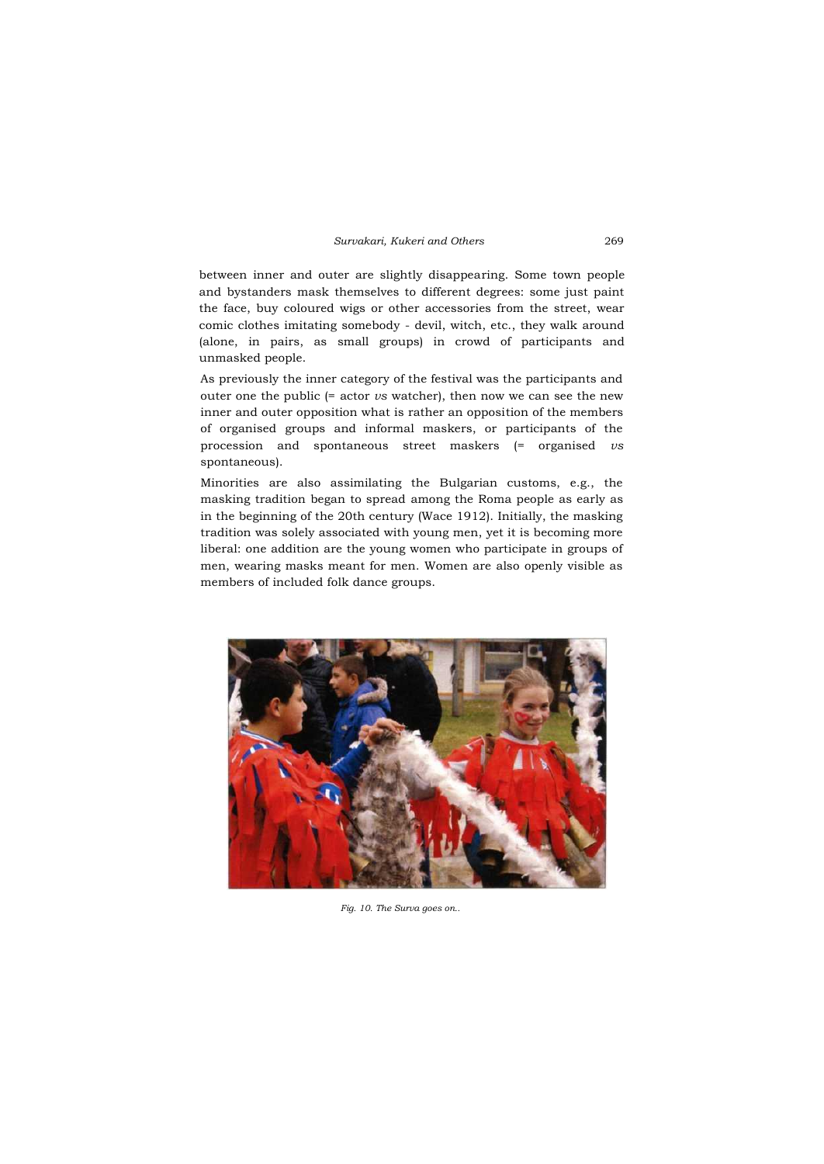between inner and outer are slightly disappearing. Some town people and bystanders mask themselves to different degrees: some just paint the face, buy coloured wigs or other accessories from the street, wear comic clothes imitating somebody - devil, witch, etc., they walk around (alone, in pairs, as small groups) in crowd of participants and unmasked people.

As previously the inner category of the festival was the participants and outer one the public (= actor *vs* watcher), then now we can see the new inner and outer opposition what is rather an opposition of the members of organised groups and informal maskers, or participants of the procession and spontaneous street maskers (= organised *vs* spontaneous).

Minorities are also assimilating the Bulgarian customs, e.g., the masking tradition began to spread among the Roma people as early as in the beginning of the 20th century (Wace 1912). Initially, the masking tradition was solely associated with young men, yet it is becoming more liberal: one addition are the young women who participate in groups of men, wearing masks meant for men. Women are also openly visible as members of included folk dance groups.



*Fig. 10. The Surva goes on..*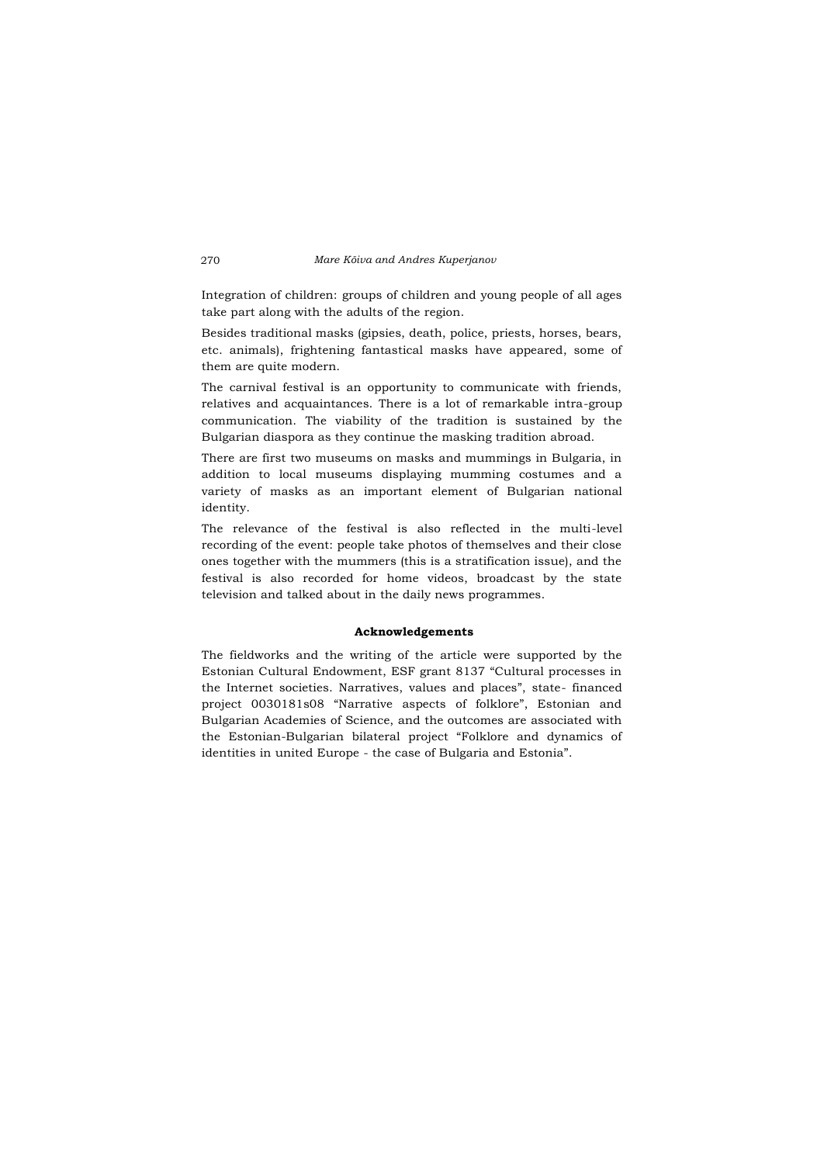Integration of children: groups of children and young people of all ages take part along with the adults of the region.

Besides traditional masks (gipsies, death, police, priests, horses, bears, etc. animals), frightening fantastical masks have appeared, some of them are quite modern.

The carnival festival is an opportunity to communicate with friends, relatives and acquaintances. There is a lot of remarkable intra-group communication. The viability of the tradition is sustained by the Bulgarian diaspora as they continue the masking tradition abroad.

There are first two museums on masks and mummings in Bulgaria, in addition to local museums displaying mumming costumes and a variety of masks as an important element of Bulgarian national identity.

The relevance of the festival is also reflected in the multi-level recording of the event: people take photos of themselves and their close ones together with the mummers (this is a stratification issue), and the festival is also recorded for home videos, broadcast by the state television and talked about in the daily news programmes.

# **Acknowledgements**

The fieldworks and the writing of the article were supported by the Estonian Cultural Endowment, ESF grant 8137 "Cultural processes in the Internet societies. Narratives, values and places", state- financed project 0030181s08 "Narrative aspects of folklore", Estonian and Bulgarian Academies of Science, and the outcomes are associated with the Estonian-Bulgarian bilateral project "Folklore and dynamics of identities in united Europe - the case of Bulgaria and Estonia".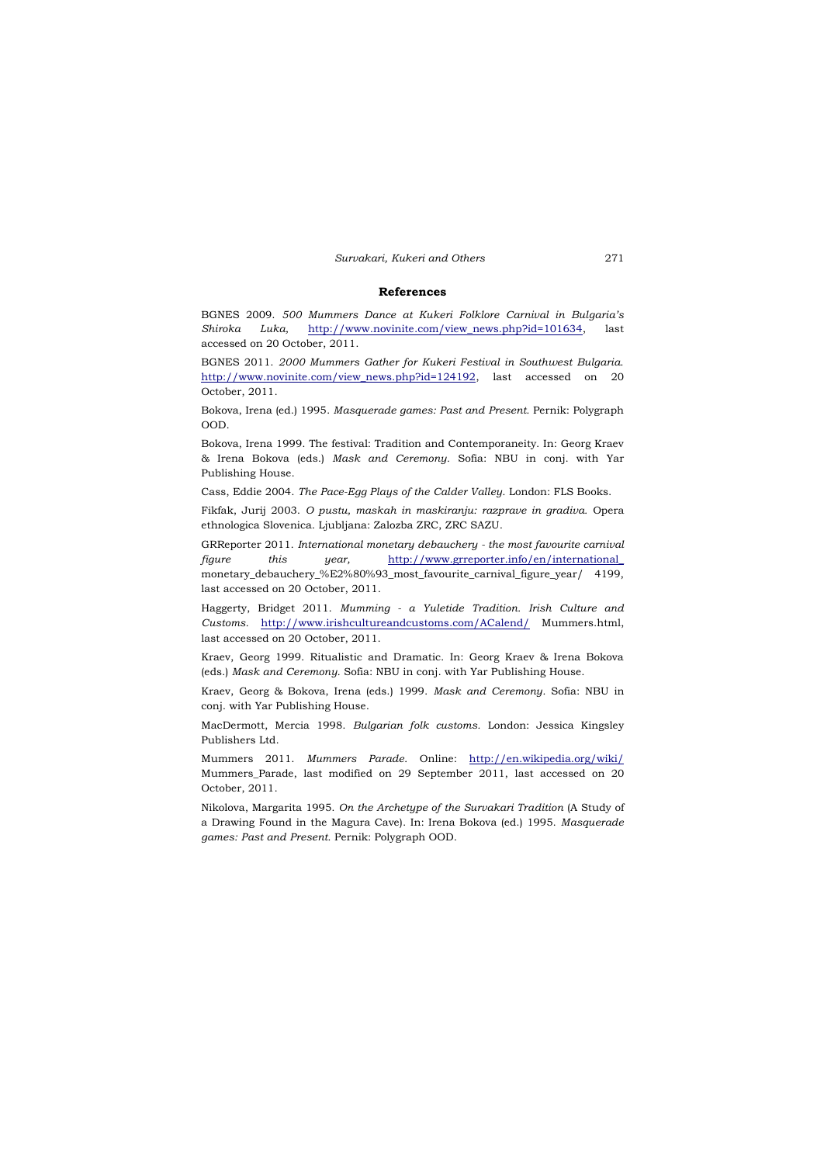#### **References**

BGNES 2009. *500 Mummers Dance at Kukeri Folklore Carnival in Bulgaria's Shiroka Luka,* [http://www.novinite.com/view\\_news.php?id=101634,](http://www.novinite.com/view_news.php?id=101634) last accessed on 20 October, 2011.

BGNES 2011. *2000 Mummers Gather for Kukeri Festival in Southwest Bulgaria.* [http://www.novinite.com/view\\_news.php?id=124192,](http://www.novinite.com/view_news.php?id=124192)\_last accessed on 20 October, 2011.

Bokova, Irena (ed.) 1995. *Masquerade games: Past and Present.* Pernik: Polygraph OOD.

Bokova, Irena 1999. The festival: Tradition and Contemporaneity. In: Georg Kraev & Irena Bokova (eds.) *Mask and Ceremony.* Sofia: NBU in conj. with Yar Publishing House.

Cass, Eddie 2004. *The Pace-Egg Plays of the Calder Valley.* London: FLS Books.

Fikfak, Jurij 2003. *O pustu, maskah in maskiranju: razprave in gradiva.* Opera ethnologica Slovenica. Ljubljana: Zalozba ZRC, ZRC SAZU.

GRReporter 2011. *International monetary debauchery - the most favourite carnival figure this year,* [http://www.grreporter.info/en/international\\_](http://www.grreporter.info/en/international_) monetary\_debauchery\_%E2%80%93\_most\_favourite\_carnival\_figure\_year/ 4199, last accessed on 20 October, 2011.

Haggerty, Bridget 2011. *Mumming - a Yuletide Tradition. Irish Culture and Customs.* <http://www.irishcultureandcustoms.com/ACalend/> Mummers.html, last accessed on 20 October, 2011.

Kraev, Georg 1999. Ritualistic and Dramatic. In: Georg Kraev & Irena Bokova (eds.) *Mask and Ceremony.* Sofia: NBU in conj. with Yar Publishing House.

Kraev, Georg & Bokova, Irena (eds.) 1999. *Mask and Ceremony.* Sofia: NBU in conj. with Yar Publishing House.

MacDermott, Mercia 1998. *Bulgarian folk customs.* London: Jessica Kingsley Publishers Ltd.

Mummers 2011. *Mummers Parade.* Online: <http://en.wikipedia.org/wiki/> Mummers\_Parade, last modified on 29 September 2011, last accessed on 20 October, 2011.

Nikolova, Margarita 1995. *On the Archetype of the Survakari Tradition* (A Study of a Drawing Found in the Magura Cave). In: Irena Bokova (ed.) 1995. *Masquerade games: Past and Present.* Pernik: Polygraph OOD.